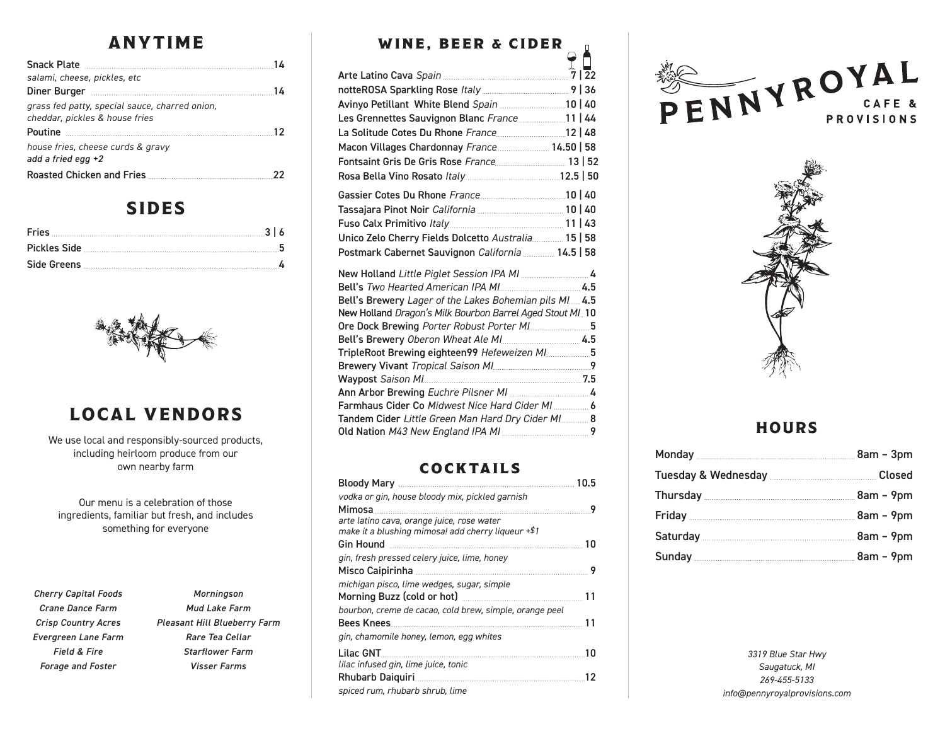## ANYTIME

| salami, cheese, pickles, etc                                                     |      |
|----------------------------------------------------------------------------------|------|
| Diner Burger <b>Manual Manual Property Control</b>                               | - 14 |
| grass fed patty, special sauce, charred onion,<br>cheddar, pickles & house fries |      |
|                                                                                  |      |
| house fries, cheese curds & gravy<br>add a fried egg $+2$                        |      |
| Roasted Chicken and Fries <b>Manual Accord Pries</b>                             |      |

#### SIDES



## LOCAL VENDORS

We use local and responsibly-sourced products, including heirloom produce from our own nearby farm

Our menu is a celebration of those ingredients, familiar but fresh, and includes something for everyone

*Cherry Capital Foods Crane Dance Farm Crisp Country Acres Evergreen Lane Farm Field & Fire Forage and Foster*

| Morningson                   |
|------------------------------|
| Mud Lake Farm                |
| Pleasant Hill Blueberry Farm |
| Rare Tea Cellar              |
| <b>Starflower Farm</b>       |
| Visser Farms                 |

## WINE, BEER & CIDER

П

| Les Grennettes Sauvignon Blanc France11   44               |  |
|------------------------------------------------------------|--|
|                                                            |  |
| Macon Villages Chardonnay France 14.50   58                |  |
|                                                            |  |
|                                                            |  |
|                                                            |  |
|                                                            |  |
|                                                            |  |
| Unico Zelo Cherry Fields Dolcetto Australia 15   58        |  |
| Postmark Cabernet Sauvignon California  14.5   58          |  |
|                                                            |  |
|                                                            |  |
| Bell's Brewery Lager of the Lakes Bohemian pils MI 4.5     |  |
| New Holland Dragon's Milk Bourbon Barrel Aged Stout MI. 10 |  |
|                                                            |  |
|                                                            |  |
| TripleRoot Brewing eighteen99 Hefeweizen MI 5              |  |
|                                                            |  |
|                                                            |  |
| Farmhaus Cider Co Midwest Nice Hard Cider MI  6            |  |
| Tandem Cider Little Green Man Hard Dry Cider MI  8         |  |
|                                                            |  |
|                                                            |  |

#### **COCKTAILS**

|                                                                                                  | 10.5 |
|--------------------------------------------------------------------------------------------------|------|
| vodka or gin, house bloody mix, pickled garnish                                                  |      |
| Mimosa                                                                                           | Q    |
| arte latino cava, orange juice, rose water<br>make it a blushing mimosa! add cherry ligueur +\$1 |      |
| Gin Hound                                                                                        | 10   |
| gin, fresh pressed celery juice, lime, honey                                                     |      |
|                                                                                                  | - 9  |
| michigan pisco, lime wedges, sugar, simple                                                       |      |
|                                                                                                  | 11   |
| bourbon, creme de cacao, cold brew, simple, orange peel                                          |      |
| Bees Knees                                                                                       | 11   |
| gin, chamomile honey, lemon, egg whites                                                          |      |
| Lilac GNT                                                                                        | 10   |
| lilac infused gin, lime juice, tonic                                                             |      |
| Rhubarb Daiquiri.                                                                                | 12   |
| spiced rum, rhubarb shrub, lime                                                                  |      |
|                                                                                                  |      |





#### **HOURS**

*3319 Blue Star Hwy Saugatuck, MI 269-455-5133 info@pennyroyalprovisions.com*